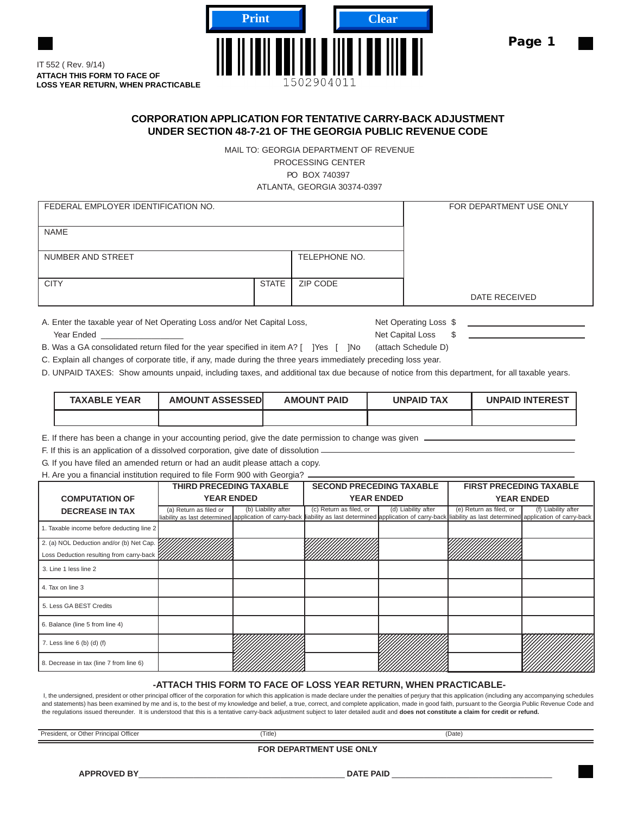

**ATTACH THIS FORM TO FACE OF LOSS YEAR RETURN, WHEN PRACTICABLE** IT 552 ( Rev. 9/14)

## **CORPORATION APPLICATION FOR TENTATIVE CARRY-BACK ADJUSTMENT UNDER SECTION 48-7-21 OF THE GEORGIA PUBLIC REVENUE CODE**

MAIL TO: GEORGIA DEPARTMENT OF REVENUE PROCESSING CENTER PO BOX 740397 ATLANTA, GEORGIA 30374-0397

| FEDERAL EMPLOYER IDENTIFICATION NO. | FOR DEPARTMENT USE ONLY |               |               |
|-------------------------------------|-------------------------|---------------|---------------|
| <b>NAME</b>                         |                         |               |               |
| NUMBER AND STREET                   |                         | TELEPHONE NO. |               |
| <b>CITY</b>                         | <b>STATE</b>            | ZIP CODE      |               |
|                                     |                         |               | DATE RECEIVED |

A. Enter the taxable year of Net Operating Loss and/or Net Capital Loss, Net Operating Loss \$ \_\_\_\_\_\_\_\_\_\_\_\_\_\_\_\_\_\_dednEraeY \$ssoLlatipaCteN

B. Was a GA consolidated return filed for the year specified in item A? [ ]Yes [ ]No (attach Schedule D)

C. Explain all changes of corporate title, if any, made during the three years immediately preceding loss year.

D. UNPAID TAXES: Show amounts unpaid, including taxes, and additional tax due because of notice from this department, for all taxable years.

| <b>TAXABLE YEAR</b> | <b>AMOUNT ASSESSEDI</b> | <b>AMOUNT PAID</b> | <b>UNPAID TAX</b> | <b>UNPAID INTEREST</b> |
|---------------------|-------------------------|--------------------|-------------------|------------------------|
|                     |                         |                    |                   |                        |

E. If there has been a change in your accounting period, give the date permission to change was given

F. If this is an application of a dissolved corporation, give date of dissolution

G. If you have filed an amended return or had an audit please attach a copy.

H. Are you a financial institution required to file Form 900 with Georgia?

|                                           | <b>THIRD PRECEDING TAXABLE</b> |                     | <b>SECOND PRECEDING TAXABLE</b>                                                                                                                                                                 |                     | <b>FIRST PRECEDING TAXABLE</b> |                     |
|-------------------------------------------|--------------------------------|---------------------|-------------------------------------------------------------------------------------------------------------------------------------------------------------------------------------------------|---------------------|--------------------------------|---------------------|
| <b>COMPUTATION OF</b>                     | <b>YEAR ENDED</b>              |                     | <b>YEAR ENDED</b>                                                                                                                                                                               |                     | <b>YEAR ENDED</b>              |                     |
| <b>DECREASE IN TAX</b>                    | (a) Return as filed or         | (b) Liability after | (c) Return as filed, or<br>liability as last determined application of carry-back liability as last determined application of carry-back liability as last determined application of carry-back | (d) Liability after | (e) Return as filed, or        | (f) Liability after |
| 1. Taxable income before deducting line 2 |                                |                     |                                                                                                                                                                                                 |                     |                                |                     |
| 2. (a) NOL Deduction and/or (b) Net Cap.  |                                |                     |                                                                                                                                                                                                 |                     |                                |                     |
| Loss Deduction resulting from carry-back  |                                |                     |                                                                                                                                                                                                 |                     |                                |                     |
| 3. Line 1 less line 2                     |                                |                     |                                                                                                                                                                                                 |                     |                                |                     |
| 4. Tax on line 3                          |                                |                     |                                                                                                                                                                                                 |                     |                                |                     |
| 5. Less GA BEST Credits                   |                                |                     |                                                                                                                                                                                                 |                     |                                |                     |
| 6. Balance (line 5 from line 4)           |                                |                     |                                                                                                                                                                                                 |                     |                                |                     |
| 7. Less line $6$ (b) (d) (f)              |                                |                     |                                                                                                                                                                                                 |                     |                                |                     |
| 8. Decrease in tax (line 7 from line 6)   |                                |                     |                                                                                                                                                                                                 |                     |                                |                     |

## **-ATTACH THIS FORM TO FACE OF LOSS YEAR RETURN, WHEN PRACTICABLE-**

I, the undersigned, president or other principal officer of the corporation for which this application is made declare under the penalties of perjury that this application (including any accompanying schedules and statements) has been examined by me and is, to the best of my knowledge and belief, a true, correct, and complete application, made in good faith, pursuant to the Georgia Public Revenue Code and the regulations issued thereunder. It is understood that this is a tentative carry-back adjustment subject to later detailed audit and **does not constitute a claim for credit or refund.**

President, or Other Principal Officer (Date) (Date) (Date) (Date)

**FOR DEPARTMENT USE ONLY**

**APPROVED BY**\_\_\_\_\_\_\_\_\_\_\_\_\_\_\_\_\_\_\_\_\_\_\_\_\_\_\_\_\_\_\_\_\_\_\_\_\_\_\_\_\_\_\_\_\_ **DATE PAID** \_\_\_\_\_\_\_\_\_\_\_\_\_\_\_\_\_\_\_\_\_\_\_\_\_\_\_\_\_\_\_\_\_\_\_

Page 1